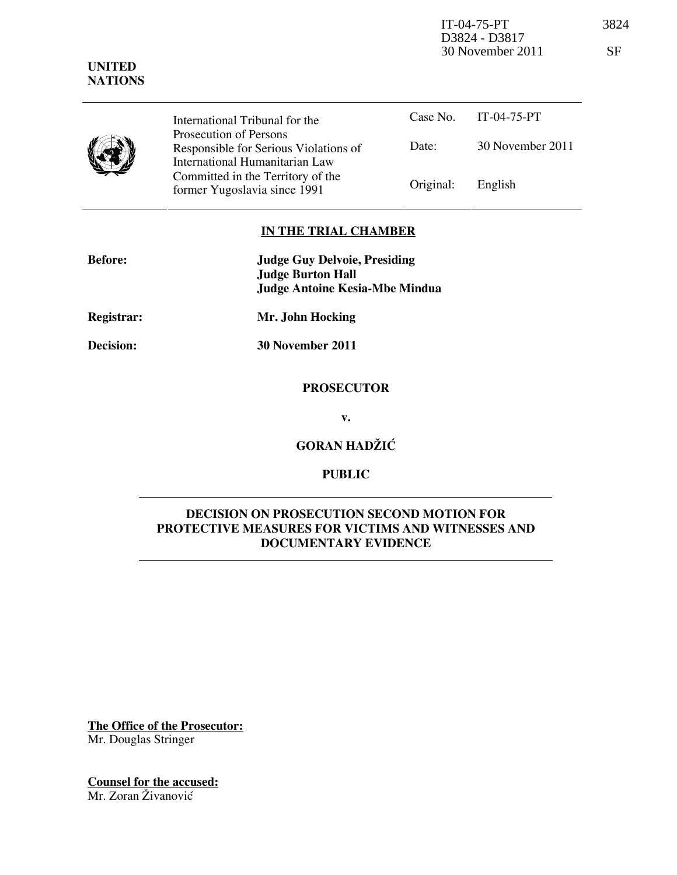IT-04-75-PT 3824 D3824 - D3817 30 November 2011 SF

|  | International Tribunal for the<br>Prosecution of Persons<br>Responsible for Serious Violations of<br>International Humanitarian Law | Date:     | Case No. $IT-04-75-PT$<br>30 November 2011 |
|--|-------------------------------------------------------------------------------------------------------------------------------------|-----------|--------------------------------------------|
|  | Committed in the Territory of the<br>former Yugoslavia since 1991                                                                   | Original: | English                                    |

## IN THE TRIAL CHAMBER

| <b>Before:</b>   | <b>Judge Guy Delvoie, Presiding</b><br><b>Judge Burton Hall</b><br><b>Judge Antoine Kesia-Mbe Mindua</b> |  |
|------------------|----------------------------------------------------------------------------------------------------------|--|
| Registrar:       | Mr. John Hocking                                                                                         |  |
| <b>Decision:</b> | 30 November 2011                                                                                         |  |
|                  |                                                                                                          |  |

### PROSECUTOR

v.

# GORAN HADŽIĆ

# PUBLIC

## DECISION ON PROSECUTION SECOND MOTION FOR PROTECTIVE MEASURES FOR VICTIMS AND WITNESSES AND DOCUMENTARY EVIDENCE

The Office of the Prosecutor: Mr. Douglas Stringer

Counsel for the accused: Mr. Zoran Živanović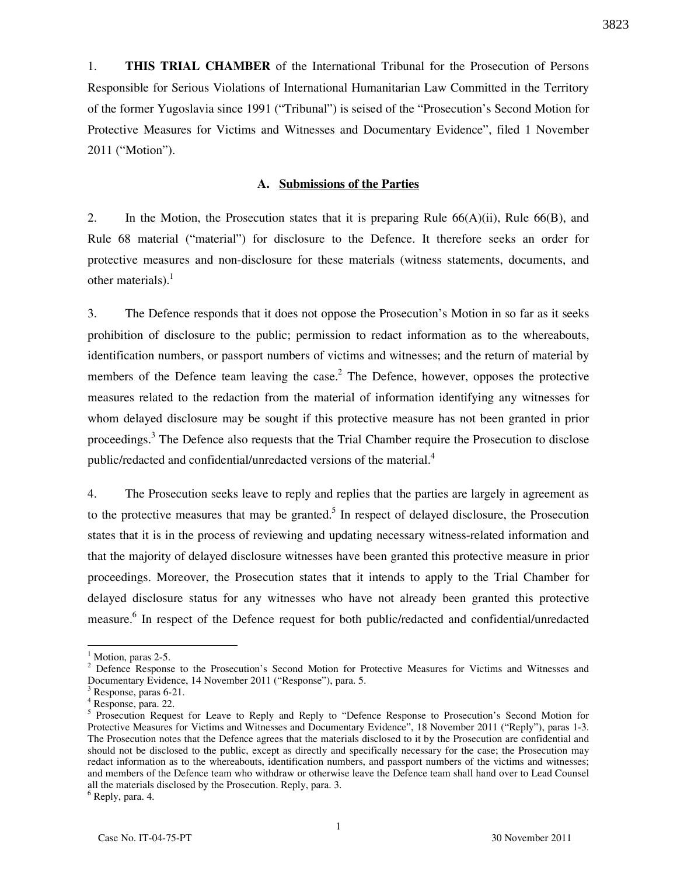1. THIS TRIAL CHAMBER of the International Tribunal for the Prosecution of Persons Responsible for Serious Violations of International Humanitarian Law Committed in the Territory of the former Yugoslavia since 1991 ("Tribunal") is seised of the "Prosecution's Second Motion for Protective Measures for Victims and Witnesses and Documentary Evidence", filed 1 November 2011 ("Motion").

#### A. Submissions of the Parties

2. In the Motion, the Prosecution states that it is preparing Rule  $66(A)(ii)$ , Rule  $66(B)$ , and Rule 68 material ("material") for disclosure to the Defence. It therefore seeks an order for protective measures and non-disclosure for these materials (witness statements, documents, and other materials). $<sup>1</sup>$ </sup>

3. The Defence responds that it does not oppose the Prosecution's Motion in so far as it seeks prohibition of disclosure to the public; permission to redact information as to the whereabouts, identification numbers, or passport numbers of victims and witnesses; and the return of material by members of the Defence team leaving the case.<sup>2</sup> The Defence, however, opposes the protective measures related to the redaction from the material of information identifying any witnesses for whom delayed disclosure may be sought if this protective measure has not been granted in prior proceedings.<sup>3</sup> The Defence also requests that the Trial Chamber require the Prosecution to disclose public/redacted and confidential/unredacted versions of the material. $4$ 

4. The Prosecution seeks leave to reply and replies that the parties are largely in agreement as to the protective measures that may be granted.<sup>5</sup> In respect of delayed disclosure, the Prosecution states that it is in the process of reviewing and updating necessary witness-related information and that the majority of delayed disclosure witnesses have been granted this protective measure in prior proceedings. Moreover, the Prosecution states that it intends to apply to the Trial Chamber for delayed disclosure status for any witnesses who have not already been granted this protective measure.<sup>6</sup> In respect of the Defence request for both public/redacted and confidential/unredacted

 $\overline{a}$ 

<sup>&</sup>lt;sup>1</sup> Motion, paras 2-5.

<sup>&</sup>lt;sup>2</sup> Defence Response to the Prosecution's Second Motion for Protective Measures for Victims and Witnesses and Documentary Evidence, 14 November 2011 ("Response"), para. 5.

<sup>&</sup>lt;sup>3</sup> Response, paras 6-21.

<sup>4</sup> Response, para. 22.

<sup>&</sup>lt;sup>5</sup> Prosecution Request for Leave to Reply and Reply to "Defence Response to Prosecution's Second Motion for Protective Measures for Victims and Witnesses and Documentary Evidence", 18 November 2011 ("Reply"), paras 1-3. The Prosecution notes that the Defence agrees that the materials disclosed to it by the Prosecution are confidential and should not be disclosed to the public, except as directly and specifically necessary for the case; the Prosecution may redact information as to the whereabouts, identification numbers, and passport numbers of the victims and witnesses; and members of the Defence team who withdraw or otherwise leave the Defence team shall hand over to Lead Counsel all the materials disclosed by the Prosecution. Reply, para. 3.

<sup>6</sup> Reply, para. 4.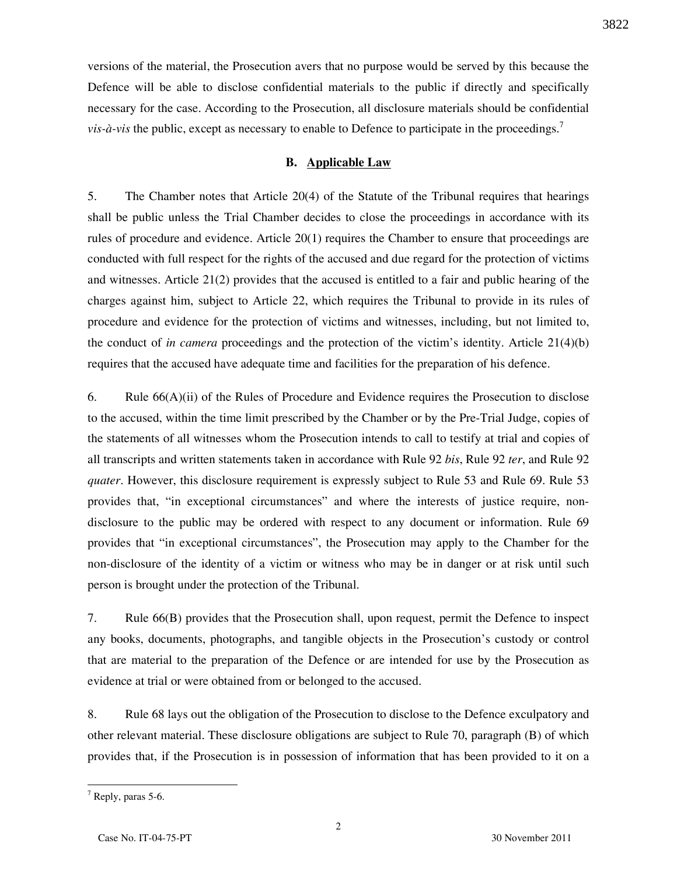versions of the material, the Prosecution avers that no purpose would be served by this because the Defence will be able to disclose confidential materials to the public if directly and specifically necessary for the case. According to the Prosecution, all disclosure materials should be confidential *vis-à-vis* the public, except as necessary to enable to Defence to participate in the proceedings.<sup>7</sup>

### B. Applicable Law

5. The Chamber notes that Article 20(4) of the Statute of the Tribunal requires that hearings shall be public unless the Trial Chamber decides to close the proceedings in accordance with its rules of procedure and evidence. Article 20(1) requires the Chamber to ensure that proceedings are conducted with full respect for the rights of the accused and due regard for the protection of victims and witnesses. Article 21(2) provides that the accused is entitled to a fair and public hearing of the charges against him, subject to Article 22, which requires the Tribunal to provide in its rules of procedure and evidence for the protection of victims and witnesses, including, but not limited to, the conduct of in camera proceedings and the protection of the victim's identity. Article  $21(4)(b)$ requires that the accused have adequate time and facilities for the preparation of his defence.

6. Rule 66(A)(ii) of the Rules of Procedure and Evidence requires the Prosecution to disclose to the accused, within the time limit prescribed by the Chamber or by the Pre-Trial Judge, copies of the statements of all witnesses whom the Prosecution intends to call to testify at trial and copies of all transcripts and written statements taken in accordance with Rule 92 bis, Rule 92 ter, and Rule 92 quater. However, this disclosure requirement is expressly subject to Rule 53 and Rule 69. Rule 53 provides that, "in exceptional circumstances" and where the interests of justice require, nondisclosure to the public may be ordered with respect to any document or information. Rule 69 provides that "in exceptional circumstances", the Prosecution may apply to the Chamber for the non-disclosure of the identity of a victim or witness who may be in danger or at risk until such person is brought under the protection of the Tribunal.

7. Rule 66(B) provides that the Prosecution shall, upon request, permit the Defence to inspect any books, documents, photographs, and tangible objects in the Prosecution's custody or control that are material to the preparation of the Defence or are intended for use by the Prosecution as evidence at trial or were obtained from or belonged to the accused.

8. Rule 68 lays out the obligation of the Prosecution to disclose to the Defence exculpatory and other relevant material. These disclosure obligations are subject to Rule 70, paragraph (B) of which provides that, if the Prosecution is in possession of information that has been provided to it on a

 $\overline{a}$ 

3822

<sup>&</sup>lt;sup>7</sup> Reply, paras 5-6.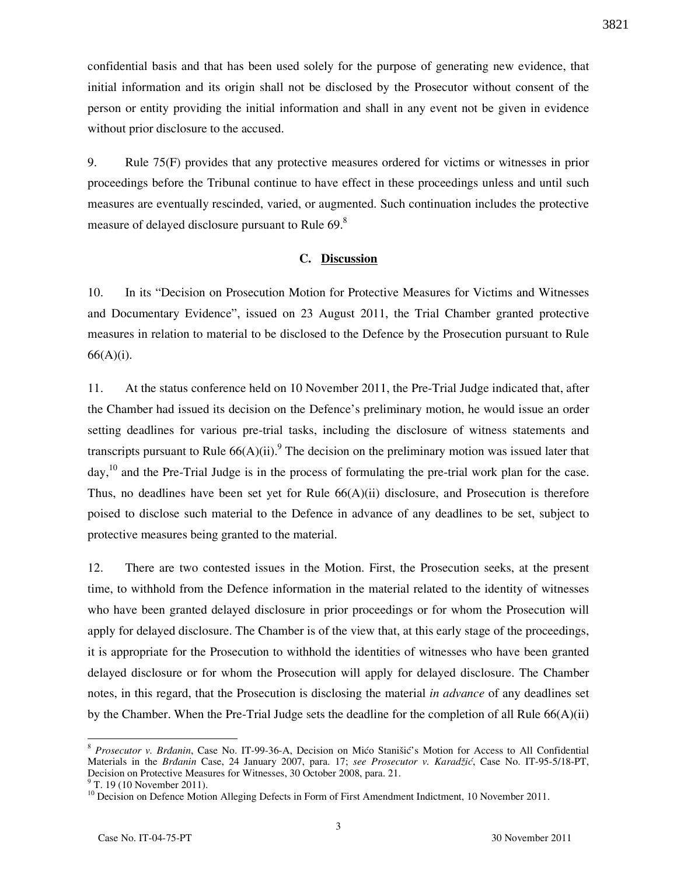confidential basis and that has been used solely for the purpose of generating new evidence, that initial information and its origin shall not be disclosed by the Prosecutor without consent of the person or entity providing the initial information and shall in any event not be given in evidence without prior disclosure to the accused.

9. Rule 75(F) provides that any protective measures ordered for victims or witnesses in prior proceedings before the Tribunal continue to have effect in these proceedings unless and until such measures are eventually rescinded, varied, or augmented. Such continuation includes the protective measure of delayed disclosure pursuant to Rule 69.<sup>8</sup>

### C. Discussion

10. In its "Decision on Prosecution Motion for Protective Measures for Victims and Witnesses and Documentary Evidence", issued on 23 August 2011, the Trial Chamber granted protective measures in relation to material to be disclosed to the Defence by the Prosecution pursuant to Rule 66(A)(i).

11. At the status conference held on 10 November 2011, the Pre-Trial Judge indicated that, after the Chamber had issued its decision on the Defence's preliminary motion, he would issue an order setting deadlines for various pre-trial tasks, including the disclosure of witness statements and transcripts pursuant to Rule  $66(A)(ii)$ . The decision on the preliminary motion was issued later that day,<sup>10</sup> and the Pre-Trial Judge is in the process of formulating the pre-trial work plan for the case. Thus, no deadlines have been set yet for Rule  $66(A)(ii)$  disclosure, and Prosecution is therefore poised to disclose such material to the Defence in advance of any deadlines to be set, subject to protective measures being granted to the material.

12. There are two contested issues in the Motion. First, the Prosecution seeks, at the present time, to withhold from the Defence information in the material related to the identity of witnesses who have been granted delayed disclosure in prior proceedings or for whom the Prosecution will apply for delayed disclosure. The Chamber is of the view that, at this early stage of the proceedings, it is appropriate for the Prosecution to withhold the identities of witnesses who have been granted delayed disclosure or for whom the Prosecution will apply for delayed disclosure. The Chamber notes, in this regard, that the Prosecution is disclosing the material *in advance* of any deadlines set by the Chamber. When the Pre-Trial Judge sets the deadline for the completion of all Rule 66(A)(ii)

3

<sup>&</sup>lt;sup>8</sup> Prosecutor v. Brđanin, Case No. IT-99-36-A, Decision on Mićo Stanišić's Motion for Access to All Confidential Materials in the Brdanin Case, 24 January 2007, para. 17; see Prosecutor v. Karadžić, Case No. IT-95-5/18-PT, Decision on Protective Measures for Witnesses, 30 October 2008, para. 21.

<sup>&</sup>lt;sup>9</sup> T. 19 (10 November 2011).

<sup>&</sup>lt;sup>10</sup> Decision on Defence Motion Alleging Defects in Form of First Amendment Indictment, 10 November 2011.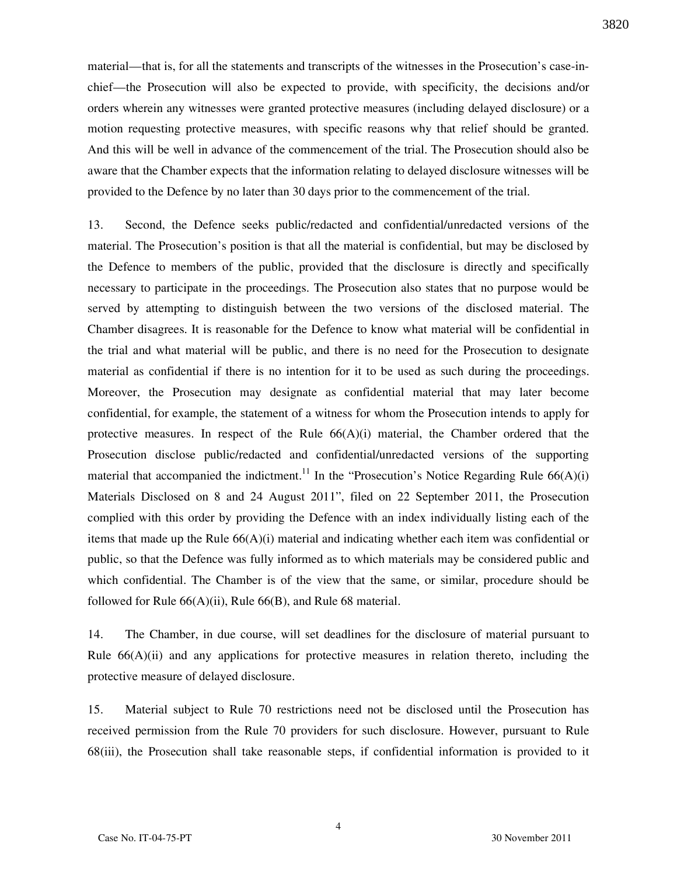material—that is, for all the statements and transcripts of the witnesses in the Prosecution's case-inchief—the Prosecution will also be expected to provide, with specificity, the decisions and/or orders wherein any witnesses were granted protective measures (including delayed disclosure) or a motion requesting protective measures, with specific reasons why that relief should be granted. And this will be well in advance of the commencement of the trial. The Prosecution should also be aware that the Chamber expects that the information relating to delayed disclosure witnesses will be provided to the Defence by no later than 30 days prior to the commencement of the trial.

13. Second, the Defence seeks public/redacted and confidential/unredacted versions of the material. The Prosecution's position is that all the material is confidential, but may be disclosed by the Defence to members of the public, provided that the disclosure is directly and specifically necessary to participate in the proceedings. The Prosecution also states that no purpose would be served by attempting to distinguish between the two versions of the disclosed material. The Chamber disagrees. It is reasonable for the Defence to know what material will be confidential in the trial and what material will be public, and there is no need for the Prosecution to designate material as confidential if there is no intention for it to be used as such during the proceedings. Moreover, the Prosecution may designate as confidential material that may later become confidential, for example, the statement of a witness for whom the Prosecution intends to apply for protective measures. In respect of the Rule  $66(A)(i)$  material, the Chamber ordered that the Prosecution disclose public/redacted and confidential/unredacted versions of the supporting material that accompanied the indictment.<sup>11</sup> In the "Prosecution's Notice Regarding Rule  $66(A)(i)$ Materials Disclosed on 8 and 24 August 2011", filed on 22 September 2011, the Prosecution complied with this order by providing the Defence with an index individually listing each of the items that made up the Rule  $66(A)(i)$  material and indicating whether each item was confidential or public, so that the Defence was fully informed as to which materials may be considered public and which confidential. The Chamber is of the view that the same, or similar, procedure should be followed for Rule  $66(A)(ii)$ , Rule  $66(B)$ , and Rule 68 material.

14. The Chamber, in due course, will set deadlines for the disclosure of material pursuant to Rule  $66(A)(ii)$  and any applications for protective measures in relation thereto, including the protective measure of delayed disclosure.

15. Material subject to Rule 70 restrictions need not be disclosed until the Prosecution has received permission from the Rule 70 providers for such disclosure. However, pursuant to Rule 68(iii), the Prosecution shall take reasonable steps, if confidential information is provided to it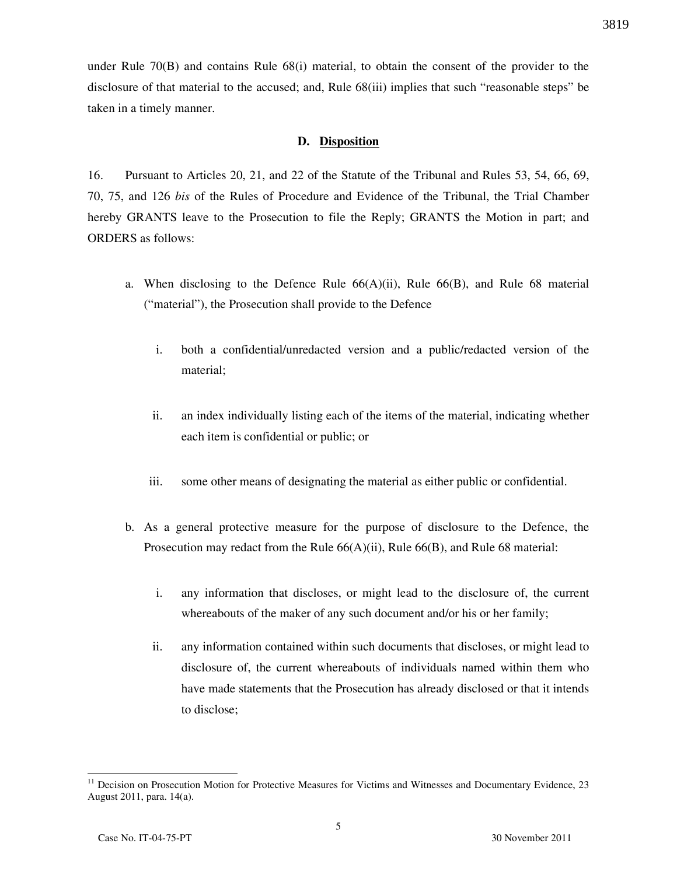under Rule 70(B) and contains Rule 68(i) material, to obtain the consent of the provider to the disclosure of that material to the accused; and, Rule 68(iii) implies that such "reasonable steps" be taken in a timely manner.

### D. Disposition

16. Pursuant to Articles 20, 21, and 22 of the Statute of the Tribunal and Rules 53, 54, 66, 69, 70, 75, and 126 bis of the Rules of Procedure and Evidence of the Tribunal, the Trial Chamber hereby GRANTS leave to the Prosecution to file the Reply; GRANTS the Motion in part; and ORDERS as follows:

- a. When disclosing to the Defence Rule 66(A)(ii), Rule 66(B), and Rule 68 material ("material"), the Prosecution shall provide to the Defence
	- i. both a confidential/unredacted version and a public/redacted version of the material;
	- ii. an index individually listing each of the items of the material, indicating whether each item is confidential or public; or
	- iii. some other means of designating the material as either public or confidential.
- b. As a general protective measure for the purpose of disclosure to the Defence, the Prosecution may redact from the Rule 66(A)(ii), Rule 66(B), and Rule 68 material:
	- i. any information that discloses, or might lead to the disclosure of, the current whereabouts of the maker of any such document and/or his or her family;
	- ii. any information contained within such documents that discloses, or might lead to disclosure of, the current whereabouts of individuals named within them who have made statements that the Prosecution has already disclosed or that it intends to disclose;

 $\overline{a}$ 

<sup>&</sup>lt;sup>11</sup> Decision on Prosecution Motion for Protective Measures for Victims and Witnesses and Documentary Evidence, 23 August 2011, para. 14(a).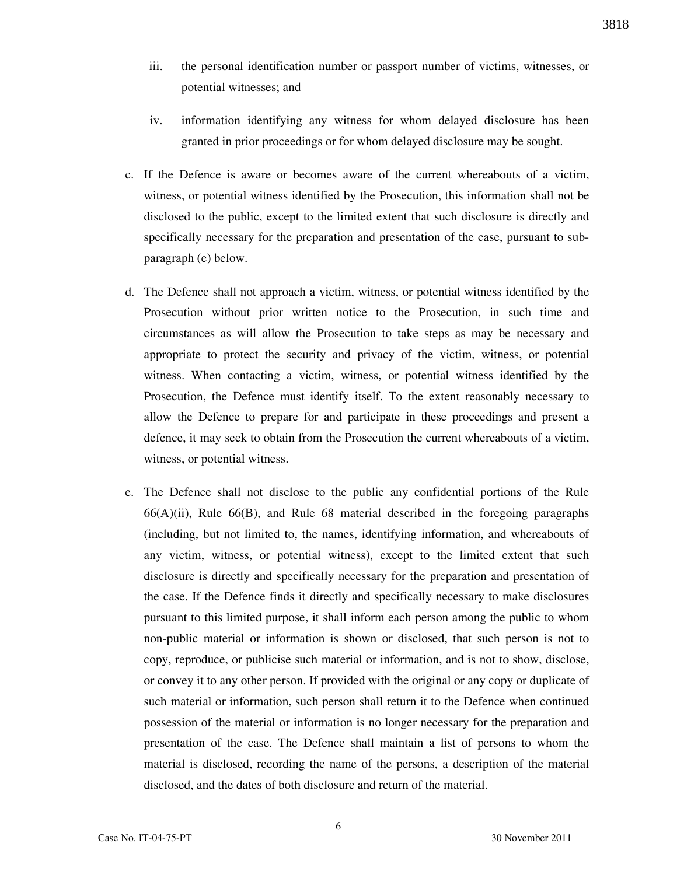- iii. the personal identification number or passport number of victims, witnesses, or potential witnesses; and
- iv. information identifying any witness for whom delayed disclosure has been granted in prior proceedings or for whom delayed disclosure may be sought.
- c. If the Defence is aware or becomes aware of the current whereabouts of a victim, witness, or potential witness identified by the Prosecution, this information shall not be disclosed to the public, except to the limited extent that such disclosure is directly and specifically necessary for the preparation and presentation of the case, pursuant to subparagraph (e) below.
- d. The Defence shall not approach a victim, witness, or potential witness identified by the Prosecution without prior written notice to the Prosecution, in such time and circumstances as will allow the Prosecution to take steps as may be necessary and appropriate to protect the security and privacy of the victim, witness, or potential witness. When contacting a victim, witness, or potential witness identified by the Prosecution, the Defence must identify itself. To the extent reasonably necessary to allow the Defence to prepare for and participate in these proceedings and present a defence, it may seek to obtain from the Prosecution the current whereabouts of a victim, witness, or potential witness.
- e. The Defence shall not disclose to the public any confidential portions of the Rule 66(A)(ii), Rule 66(B), and Rule 68 material described in the foregoing paragraphs (including, but not limited to, the names, identifying information, and whereabouts of any victim, witness, or potential witness), except to the limited extent that such disclosure is directly and specifically necessary for the preparation and presentation of the case. If the Defence finds it directly and specifically necessary to make disclosures pursuant to this limited purpose, it shall inform each person among the public to whom non-public material or information is shown or disclosed, that such person is not to copy, reproduce, or publicise such material or information, and is not to show, disclose, or convey it to any other person. If provided with the original or any copy or duplicate of such material or information, such person shall return it to the Defence when continued possession of the material or information is no longer necessary for the preparation and presentation of the case. The Defence shall maintain a list of persons to whom the material is disclosed, recording the name of the persons, a description of the material disclosed, and the dates of both disclosure and return of the material.